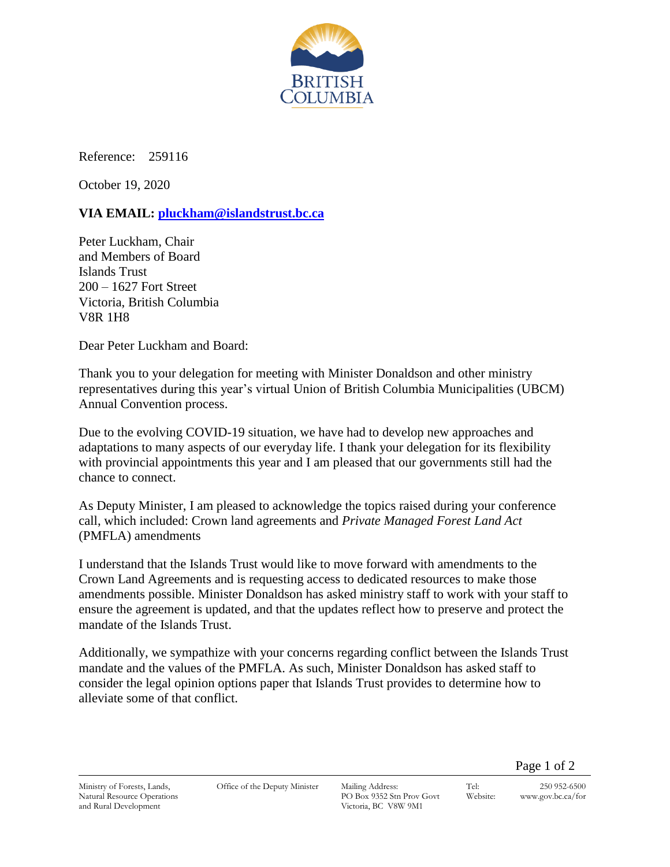

Reference: 259116

October 19, 2020

## **VIA EMAIL: [pluckham@islandstrust.bc.ca](mailto:pluckham@islandstrust.bc.ca)**

Peter Luckham, Chair and Members of Board Islands Trust 200 – 1627 Fort Street Victoria, British Columbia V8R 1H8

Dear Peter Luckham and Board:

Thank you to your delegation for meeting with Minister Donaldson and other ministry representatives during this year's virtual Union of British Columbia Municipalities (UBCM) Annual Convention process.

Due to the evolving COVID-19 situation, we have had to develop new approaches and adaptations to many aspects of our everyday life. I thank your delegation for its flexibility with provincial appointments this year and I am pleased that our governments still had the chance to connect.

As Deputy Minister, I am pleased to acknowledge the topics raised during your conference call, which included: Crown land agreements and *Private Managed Forest Land Act* (PMFLA) amendments

I understand that the Islands Trust would like to move forward with amendments to the Crown Land Agreements and is requesting access to dedicated resources to make those amendments possible. Minister Donaldson has asked ministry staff to work with your staff to ensure the agreement is updated, and that the updates reflect how to preserve and protect the mandate of the Islands Trust.

Additionally, we sympathize with your concerns regarding conflict between the Islands Trust mandate and the values of the PMFLA. As such, Minister Donaldson has asked staff to consider the legal opinion options paper that Islands Trust provides to determine how to alleviate some of that conflict.

Page 1 of 2

Ministry of Forests, Lands, Natural Resource Operations and Rural Development

Office of the Deputy Minister Mailing Address:

PO Box 9352 Stn Prov Govt Victoria, BC V8W 9M1

Tel: 250 952-6500 Website: www.gov.bc.ca/for